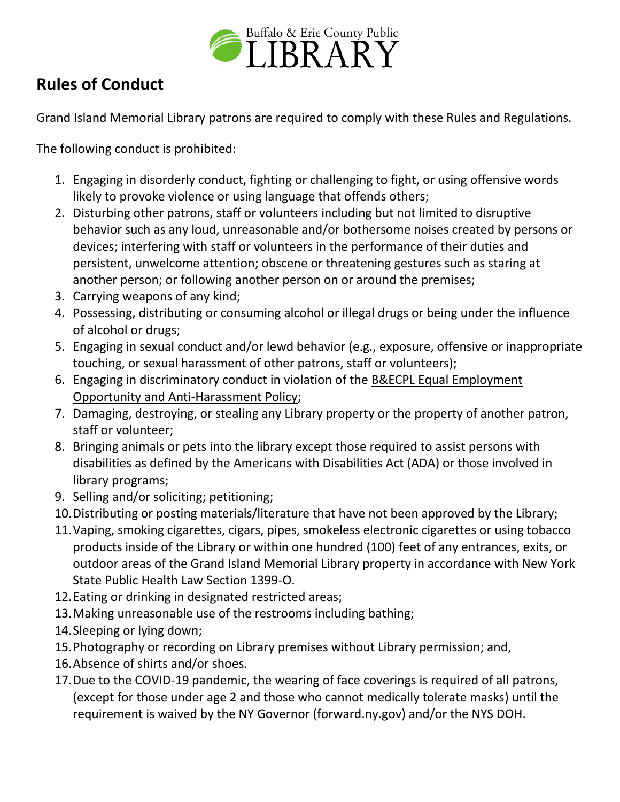

## **Rules of Conduct**

Grand Island Memorial Library patrons are required to comply with these Rules and Regulations.

The following conduct is prohibited:

- 1. Engaging in disorderly conduct, fighting or challenging to fight, or using offensive words likely to provoke violence or using language that offends others;
- 2. Disturbing other patrons, staff or volunteers including but not limited to disruptive behavior such as any loud, unreasonable and/or bothersome noises created by persons or devices; interfering with staff or volunteers in the performance of their duties and persistent, unwelcome attention; obscene or threatening gestures such as staring at another person; or following another person on or around the premises;
- 3. Carrying weapons of any kind;
- 4. Possessing, distributing or consuming alcohol or illegal drugs or being under the influence of alcohol or drugs;
- 5. Engaging in sexual conduct and/or lewd behavior (e.g., exposure, offensive or inappropriate touching, or sexual harassment of other patrons, staff or volunteers);
- 6. Engaging in discriminatory conduct in violation of the [B&ECPL Equal Employment](https://www.buffalolib.org/sites/default/files/pdf/policies/EEO_Anti-Harassment%20Policy%20-%20Amended%20-%2012-20-18.pdf)  [Opportunity and Anti-Harassment](https://www.buffalolib.org/sites/default/files/pdf/policies/EEO_Anti-Harassment%20Policy%20-%20Amended%20-%2012-20-18.pdf) Policy;
- 7. Damaging, destroying, or stealing any Library property or the property of another patron, staff or volunteer;
- 8. Bringing animals or pets into the library except those required to assist persons with disabilities as defined by the Americans with Disabilities Act (ADA) or those involved in library programs;
- 9. Selling and/or soliciting; petitioning;
- 10.Distributing or posting materials/literature that have not been approved by the Library;
- 11.Vaping, smoking cigarettes, cigars, pipes, smokeless electronic cigarettes or using tobacco products inside of the Library or within one hundred (100) feet of any entrances, exits, or outdoor areas of the Grand Island Memorial Library property in accordance with New York State Public Health Law Section 1399-O.
- 12.Eating or drinking in designated restricted areas;
- 13.Making unreasonable use of the restrooms including bathing;
- 14.Sleeping or lying down;
- 15.Photography or recording on Library premises without Library permission; and,
- 16.Absence of shirts and/or shoes.
- 17.Due to the COVID-19 pandemic, the wearing of face coverings is required of all patrons, (except for those under age 2 and those who cannot medically tolerate masks) until the requirement is waived by the NY Governor (forward.ny.gov) and/or the NYS DOH.